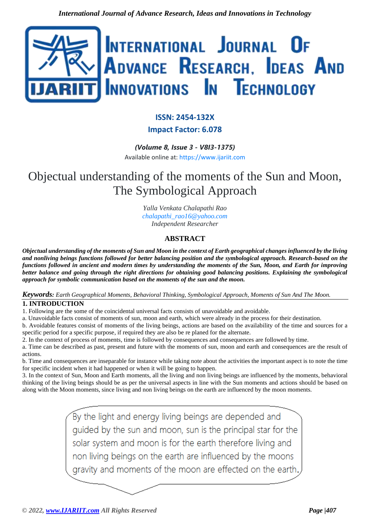

# **ISSN: 2454-132X**

# **Impact Factor: 6.078**

*(Volume 8, Issue 3 - V8I3-1375)* Available online at: [https://www.ijariit.com](https://www.ijariit.com/?utm_source=pdf&utm_medium=edition&utm_campaign=OmAkSols&utm_term=V8I3-1375)

# Objectual understanding of the moments of the Sun and Moon, The Symbological Approach

*Yalla Venkata Chalapathi Rao [chalapathi\\_rao16@yahoo.com](mailto:chalapathi_rao16@yahoo.com) Independent Researcher*

# **ABSTRACT**

*Objectual understanding of the moments of Sun and Moon in the context of Earth geographical changes influenced by the living and nonliving beings functions followed for better balancing position and the symbological approach. Research-based on the functions followed in ancient and modern times by understanding the moments of the Sun, Moon, and Earth for improving better balance and going through the right directions for obtaining good balancing positions. Explaining the symbological approach for symbolic communication based on the moments of the sun and the moon.*

## *Keywords: Earth Geographical Moments, Behavioral Thinking, Symbological Approach, Moments of Sun And The Moon.* **1. INTRODUCTION**

1. Following are the some of the coincidental universal facts consists of unavoidable and avoidable.

a. Unavoidable facts consist of moments of sun, moon and earth, which were already in the process for their destination.

b. Avoidable features consist of moments of the living beings, actions are based on the availability of the time and sources for a specific period for a specific purpose, if required they are also be re planed for the alternate.

2. In the context of process of moments, time is followed by consequences and consequences are followed by time.

a. Time can be described as past, present and future with the moments of sun, moon and earth and consequences are the result of actions.

b. Time and consequences are inseparable for instance while taking note about the activities the important aspect is to note the time for specific incident when it had happened or when it will be going to happen.

3. In the context of Sun, Moon and Earth moments, all the living and non living beings are influenced by the moments, behavioral thinking of the living beings should be as per the universal aspects in line with the Sun moments and actions should be based on along with the Moon moments, since living and non living beings on the earth are influenced by the moon moments.

> By the light and energy living beings are depended and guided by the sun and moon, sun is the principal star for the solar system and moon is for the earth therefore living and non living beings on the earth are influenced by the moons gravity and moments of the moon are effected on the earth.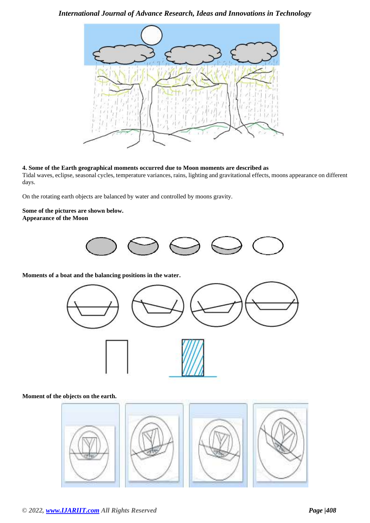# *International Journal of Advance Research, Ideas and Innovations in Technology*



## **4. Some of the Earth geographical moments occurred due to Moon moments are described as**

Tidal waves, eclipse, seasonal cycles, temperature variances, rains, lighting and gravitational effects, moons appearance on different days.

On the rotating earth objects are balanced by water and controlled by moons gravity.

#### **Some of the pictures are shown below. Appearance of the Moon**



**Moments of a boat and the balancing positions in the water.**



## **Moment of the objects on the earth.**